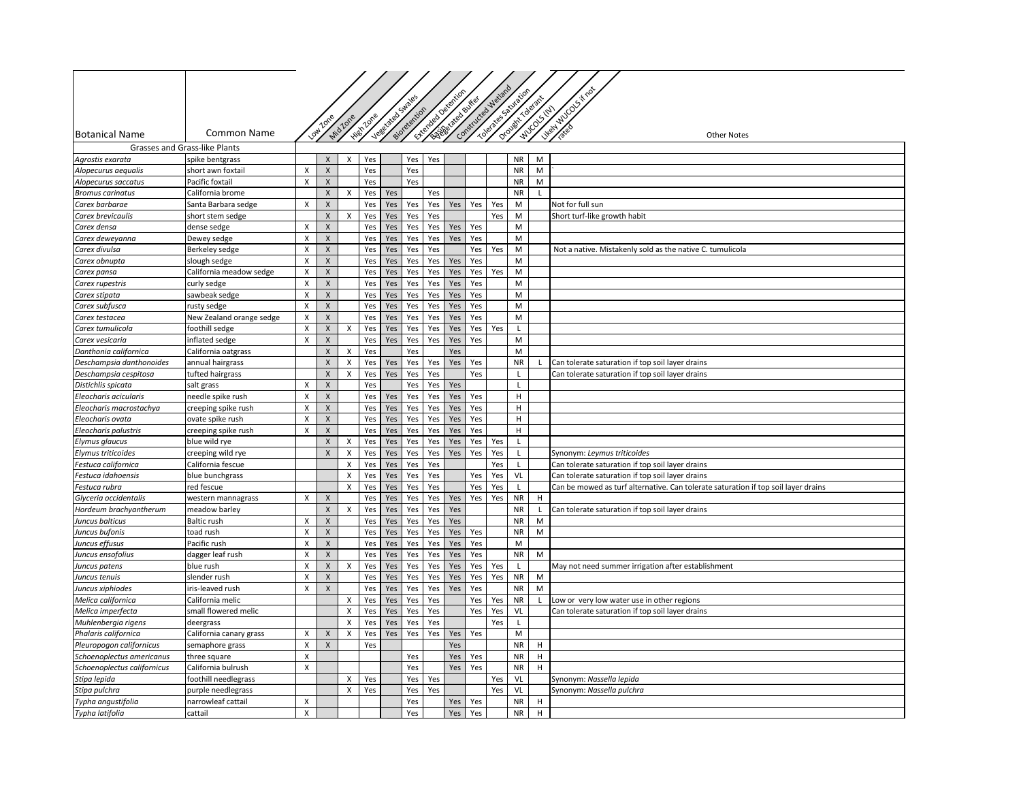|                                           |                                        |                           |                                   |                    |            |                  |              |                 |                          |     |                                         |                   |              | Likely Wood frost                                                                  |
|-------------------------------------------|----------------------------------------|---------------------------|-----------------------------------|--------------------|------------|------------------|--------------|-----------------|--------------------------|-----|-----------------------------------------|-------------------|--------------|------------------------------------------------------------------------------------|
|                                           |                                        |                           |                                   |                    |            | Vegetated Swales |              | Literated Deter | Assembly of the Assembly |     | Tolerate database<br>Constructed Wellis | Orowith Towart    | WUCOSTEL     |                                                                                    |
|                                           |                                        |                           |                                   |                    |            |                  |              |                 |                          |     |                                         |                   |              |                                                                                    |
| <b>Botanical Name</b>                     | Common Name                            |                           |                                   | Mid Zone           | High Zone  |                  | sidretention |                 |                          |     |                                         |                   |              | <b>Other Notes</b>                                                                 |
|                                           | Grasses and Grass-like Plants          |                           |                                   |                    |            |                  |              |                 |                          |     |                                         |                   |              |                                                                                    |
| Agrostis exarata                          | spike bentgrass                        |                           | X                                 | X                  | Yes        |                  | Yes          | Yes             |                          |     |                                         | <b>NR</b>         | M            |                                                                                    |
| Alopecurus aequalis                       | short awn foxtail                      | X                         | $\mathsf X$                       |                    | Yes        |                  | Yes          |                 |                          |     |                                         | <b>NR</b>         | M            |                                                                                    |
| Alopecurus saccatus                       | Pacific foxtail                        | $\boldsymbol{\mathsf{X}}$ | $\mathsf X$                       |                    | Yes        |                  | Yes          |                 |                          |     |                                         | <b>NR</b>         | M            |                                                                                    |
| <b>Bromus carinatus</b>                   | California brome                       |                           | $\mathsf X$                       | X                  | Yes        | Yes              |              | Yes             |                          |     |                                         | <b>NR</b>         | $\mathsf{L}$ |                                                                                    |
| Carex barbarae                            | Santa Barbara sedge                    | X                         | $\pmb{\mathsf{X}}$                |                    | Yes        | Yes              | Yes          | Yes             | Yes                      | Yes | Yes                                     | M                 |              | Not for full sun                                                                   |
| Carex brevicaulis                         | short stem sedge                       |                           | $\pmb{\mathsf{X}}$                | X                  | Yes        | Yes              | Yes          | Yes             |                          |     | Yes                                     | M                 |              | Short turf-like growth habit                                                       |
| Carex densa                               | dense sedge                            | X                         | $\mathsf X$                       |                    | Yes        | Yes              | Yes          | Yes             | Yes                      | Yes |                                         | M                 |              |                                                                                    |
| Carex deweyanna                           | Dewey sedge                            | X                         | $\mathsf X$                       |                    | Yes        | Yes              | Yes          | Yes             | Yes                      | Yes |                                         | M                 |              |                                                                                    |
| Carex divulsa                             | Berkeley sedge                         | X                         | $\mathsf X$                       |                    | Yes        | Yes              | Yes          | Yes             |                          | Yes | Yes                                     | M                 |              | Not a native. Mistakenly sold as the native C. tumulicola                          |
| Carex obnupta                             | slough sedge                           | X                         | $\mathsf X$                       |                    | Yes        | Yes              | Yes          | Yes             | Yes                      | Yes |                                         | M                 |              |                                                                                    |
| Carex pansa                               | California meadow sedge                | X                         | $\pmb{\mathsf{X}}$                |                    | Yes        | Yes              | Yes          | Yes             | Yes                      | Yes | Yes                                     | M                 |              |                                                                                    |
| Carex rupestris                           | curly sedge                            | $\pmb{\times}$            | $\pmb{\mathsf{X}}$                |                    | Yes        | Yes              | Yes          | Yes             | Yes                      | Yes |                                         | M                 |              |                                                                                    |
| Carex stipata                             | sawbeak sedge                          | X                         | $\mathsf X$                       |                    | Yes        | Yes              | Yes          | Yes             | Yes                      | Yes |                                         | M                 |              |                                                                                    |
| Carex subfusca                            | rusty sedge                            | X                         | $\mathsf{X}$                      |                    | Yes        | Yes              | Yes          | Yes             | Yes                      | Yes |                                         | M                 |              |                                                                                    |
| Carex testacea                            | New Zealand orange sedge               | X                         | $\mathsf X$                       |                    | Yes        | Yes              | Yes          | Yes             | Yes                      | Yes |                                         | M                 |              |                                                                                    |
| Carex tumulicola                          | foothill sedge                         | X                         | $\mathsf X$                       | X                  | Yes        | Yes              | Yes          | Yes             | Yes                      | Yes | Yes                                     | $\mathsf{L}$      |              |                                                                                    |
| Carex vesicaria                           | inflated sedge                         | X                         | $\mathsf X$                       |                    | Yes        | Yes              | Yes          | Yes             | Yes                      | Yes |                                         | M                 |              |                                                                                    |
| Danthonia californica                     | California oatgrass                    |                           | $\mathsf{X}$                      | X                  | Yes        |                  | Yes          |                 | Yes                      |     |                                         | M                 |              |                                                                                    |
| Deschampsia danthonoides                  | annual hairgrass                       |                           | $\pmb{\mathsf{X}}$                | X                  | Yes        | Yes              | Yes          | Yes             | Yes                      | Yes |                                         | <b>NR</b>         |              | Can tolerate saturation if top soil layer drains                                   |
| Deschampsia cespitosa                     | tufted hairgrass                       |                           | $\mathsf X$                       | X                  | Yes        | Yes              | Yes          | Yes             |                          | Yes |                                         | $\mathbf{I}$      |              | Can tolerate saturation if top soil layer drains                                   |
| Distichlis spicata                        | salt grass                             | X                         | $\pmb{\mathsf{X}}$                |                    | Yes        |                  | Yes          | Yes             | Yes                      |     |                                         | L                 |              |                                                                                    |
| Eleocharis acicularis                     | needle spike rush                      | $\pmb{\chi}$              | $\mathsf X$                       |                    | Yes        | Yes              | Yes          | Yes             | Yes                      | Yes |                                         | H                 |              |                                                                                    |
| Eleocharis macrostachya                   | creeping spike rush                    | X                         | $\mathsf{X}$                      |                    | Yes        | Yes              | Yes          | Yes             | Yes                      | Yes |                                         | H                 |              |                                                                                    |
| Eleocharis ovata                          | ovate spike rush                       | X                         | $\mathsf X$                       |                    | Yes        | Yes              | Yes          | Yes             | Yes                      | Yes |                                         | н                 |              |                                                                                    |
| Eleocharis palustris                      | creeping spike rush                    | X                         | $\mathsf X$<br>$\pmb{\mathsf{X}}$ |                    | Yes        | Yes              | Yes          | Yes             | Yes                      | Yes |                                         | Н.                |              |                                                                                    |
| Elymus glaucus                            | blue wild rye                          |                           |                                   | Χ                  | Yes        | Yes              | Yes          | Yes             | Yes                      | Yes | Yes                                     | L                 |              |                                                                                    |
| Elymus triticoides<br>Festuca californica | creeping wild rye<br>California fescue |                           | $\mathsf X$                       | X<br>X             | Yes<br>Yes | Yes<br>Yes       | Yes<br>Yes   | Yes<br>Yes      | Yes                      | Yes | Yes<br>Yes                              | L<br>$\mathsf{L}$ |              | Synonym: Leymus triticoides<br>Can tolerate saturation if top soil layer drains    |
| Festuca idahoensis                        | blue bunchgrass                        |                           |                                   | X                  | Yes        | Yes              | Yes          | Yes             |                          | Yes | Yes                                     | VL                |              | Can tolerate saturation if top soil layer drains                                   |
| Festuca rubra                             | red fescue                             |                           |                                   | X                  | Yes        | Yes              | Yes          | Yes             |                          | Yes | Yes                                     | L.                |              | Can be mowed as turf alternative. Can tolerate saturation if top soil layer drains |
| Glyceria occidentalis                     | western mannagrass                     | X                         | $\pmb{\times}$                    |                    | Yes        | Yes              | Yes          | Yes             | Yes                      | Yes | Yes                                     | <b>NR</b>         | H            |                                                                                    |
| Hordeum brachyantherum                    | meadow barley                          |                           | X                                 | X                  | Yes        | Yes              | Yes          | Yes             | Yes                      |     |                                         | <b>NR</b>         | L            | Can tolerate saturation if top soil layer drains                                   |
| Juncus balticus                           | <b>Baltic rush</b>                     | X                         | $\pmb{\chi}$                      |                    | Yes        | Yes              | Yes          | Yes             | Yes                      |     |                                         | <b>NR</b>         | M            |                                                                                    |
| Juncus bufonis                            | toad rush                              | X                         | $\mathsf X$                       |                    | Yes        | Yes              | Yes          | Yes             | Yes                      | Yes |                                         | <b>NR</b>         | M            |                                                                                    |
| Juncus effusus                            | Pacific rush                           | X                         | X                                 |                    | Yes        | Yes              | Yes          | Yes             | Yes                      | Yes |                                         | M                 |              |                                                                                    |
| Juncus ensofolius                         | dagger leaf rush                       | X                         | $\pmb{\mathsf{X}}$                |                    | Yes        | Yes              | Yes          | Yes             | Yes                      | Yes |                                         | <b>NR</b>         | M            |                                                                                    |
| Juncus patens                             | blue rush                              | X                         | $\mathsf X$                       | $\mathsf{x}$       | Yes        | Yes              | Yes          | Yes             | Yes                      | Yes | Yes                                     | $\mathsf{L}$      |              | May not need summer irrigation after establishment                                 |
| Juncus tenuis                             | slender rush                           | X                         | $\mathsf X$                       |                    | Yes        | Yes              | Yes          | Yes             | Yes                      | Yes | Yes                                     | <b>NR</b>         | M            |                                                                                    |
| Juncus xiphiodes                          | iris-leaved rush                       | $\mathsf{x}$              | $\mathsf X$                       |                    | Yes        | Yes              | Yes          | Yes             | Yes                      | Yes |                                         | <b>NR</b>         | M            |                                                                                    |
| Melica californica                        | California melic                       |                           |                                   | Х                  | Yes        | Yes              | Yes          | Yes             |                          | Yes | Yes                                     | ΝR                | L.           | Low or very low water use in other regions                                         |
| Melica imperfecta                         | small flowered melic                   |                           |                                   | X                  | Yes        | Yes              | Yes          | Yes             |                          | Yes | Yes                                     | VL                |              | Can tolerate saturation if top soil layer drains                                   |
| Muhlenbergia rigens                       | deergrass                              |                           |                                   | $\pmb{\mathsf{X}}$ | Yes        | Yes              | Yes          | Yes             |                          |     | Yes                                     | $\mathsf{L}$      |              |                                                                                    |
| Phalaris californica                      | California canary grass                | X                         | $\mathsf X$                       | X                  | Yes        | Yes              | Yes          | Yes             | Yes                      | Yes |                                         | M                 |              |                                                                                    |
| Pleuropogon californicus                  | semaphore grass                        | X                         | $\pmb{\chi}$                      |                    | Yes        |                  |              |                 | Yes                      |     |                                         | <b>NR</b>         | H            |                                                                                    |
| Schoenoplectus americanus                 | three square                           | X                         |                                   |                    |            |                  | Yes          |                 | Yes                      | Yes |                                         | <b>NR</b>         | H            |                                                                                    |
| Schoenoplectus californicus               | California bulrush                     | X                         |                                   |                    |            |                  | Yes          |                 | Yes                      | Yes |                                         | ΝR                | H            |                                                                                    |
| Stipa lepida                              | foothill needlegrass                   |                           |                                   | X                  | Yes        |                  | Yes          | Yes             |                          |     | Yes                                     | VL                |              | Synonym: Nassella lepida                                                           |
| Stipa pulchra                             | purple needlegrass                     |                           |                                   | X                  | Yes        |                  | Yes          | Yes             |                          |     | Yes                                     | VL                |              | Synonym: Nassella pulchra                                                          |
| Typha angustifolia                        | narrowleaf cattail                     | X                         |                                   |                    |            |                  | Yes          |                 | Yes                      | Yes |                                         | <b>NR</b>         | H            |                                                                                    |
| Typha latifolia                           | cattail                                | X                         |                                   |                    |            |                  | Yes          |                 | Yes                      | Yes |                                         | <b>NR</b>         | H            |                                                                                    |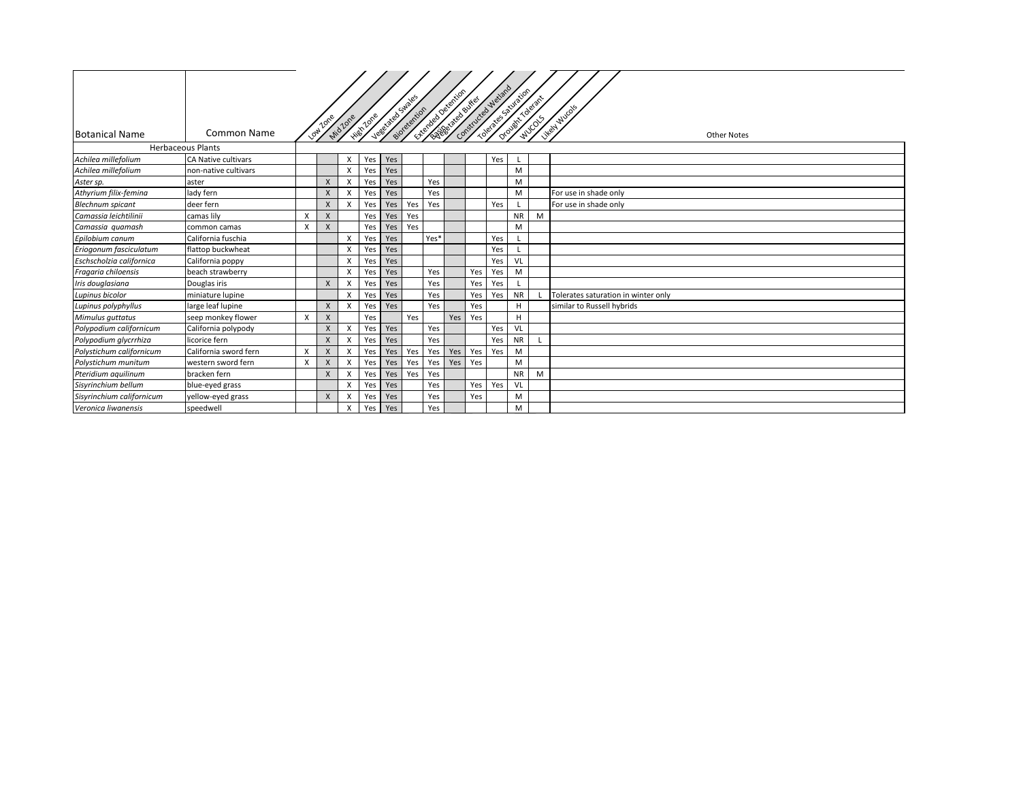| <b>Botanical Name</b>     | <b>Common Name</b>       |              | Low Zone                  | Mid Zone | High Zone | User de la Sudde | Biotechion | <b>Charles Development</b> |     |     | Contractor de distribution | Orought Tolerant | <b>MUCOS</b> | Likely Muco's<br><b>Other Notes</b> |
|---------------------------|--------------------------|--------------|---------------------------|----------|-----------|------------------|------------|----------------------------|-----|-----|----------------------------|------------------|--------------|-------------------------------------|
|                           | <b>Herbaceous Plants</b> |              |                           |          |           |                  |            |                            |     |     |                            |                  |              |                                     |
| Achilea millefolium       | CA Native cultivars      |              |                           | x        | Yes       | Yes              |            |                            |     |     | Yes                        |                  |              |                                     |
| Achilea millefolium       | non-native cultivars     |              |                           | X        | Yes       | Yes              |            |                            |     |     |                            | M                |              |                                     |
| Aster sp.                 | aster                    |              | X                         | X        | Yes       | Yes              |            | Yes                        |     |     |                            | M                |              |                                     |
| Athyrium filix-femina     | lady fern                |              | X                         |          | Yes       | Yes              |            | Yes                        |     |     |                            | M                |              | For use in shade only               |
| <b>Blechnum</b> spicant   | deer fern                |              | $\mathsf{x}$              |          | Yes       | Yes              | Yes        | Yes                        |     |     | Yes                        |                  |              | For use in shade only               |
| Camassia leichtilinii     | camas lily               | X            | $\boldsymbol{\mathsf{x}}$ |          | Yes       | Yes              | Yes        |                            |     |     |                            | <b>NR</b>        | M            |                                     |
| Camassia quamash          | common camas             | X            | $\mathsf{x}$              |          | Yes       | Yes              | Yes        |                            |     |     |                            | M                |              |                                     |
| Epilobium canum           | California fuschia       |              |                           | X        | Yes       | Yes              |            | Yes*                       |     |     | Yes                        |                  |              |                                     |
| Eriogonum fasciculatum    | flattop buckwheat        |              |                           | x        | Yes       | Yes              |            |                            |     |     | Yes                        |                  |              |                                     |
| Eschscholzia californica  | California poppy         |              |                           | X        | Yes       | Yes              |            |                            |     |     | Yes                        | VL               |              |                                     |
| Fragaria chiloensis       | beach strawberry         |              |                           | X        | Yes       | Yes              |            | Yes                        |     | Yes | Yes                        | M                |              |                                     |
| Iris douglasiana          | Douglas iris             |              | $\mathsf{x}$              |          | Yes       | Yes              |            | Yes                        |     | Yes | Yes                        |                  |              |                                     |
| Lupinus bicolor           | miniature lupine         |              |                           |          | Yes       | Yes              |            | Yes                        |     | Yes | Yes                        | <b>NR</b>        |              | Tolerates saturation in winter only |
| Lupinus polyphyllus       | large leaf lupine        |              | $\boldsymbol{\mathsf{X}}$ |          | Yes       | Yes              |            | Yes                        |     | Yes |                            | н                |              | similar to Russell hybrids          |
| Mimulus guttatus          | seep monkey flower       | X            | X                         |          | Yes       |                  | Yes        |                            | Yes | Yes |                            | H                |              |                                     |
| Polypodium californicum   | California polypody      |              | $\boldsymbol{\mathsf{X}}$ | X        | Yes       | Yes              |            | Yes                        |     |     | Yes                        | VL               |              |                                     |
| Polypodium glycrrhiza     | licorice fern            |              | X                         |          | Yes       | Yes              |            | Yes                        |     |     | Yes                        | <b>NR</b>        |              |                                     |
| Polystichum californicum  | California sword fern    | X            | $\mathsf{X}$              | X        | Yes       | Yes              | Yes        | Yes                        | Yes | Yes | Yes                        | M                |              |                                     |
| Polystichum munitum       | western sword fern       | $\mathsf{x}$ | X                         |          | Yes       | Yes              | Yes        | Yes                        | Yes | Yes |                            | M                |              |                                     |
| Pteridium aquilinum       | bracken fern             |              | $\mathsf{X}$              | X        | Yes       | Yes              | Yes        | Yes                        |     |     |                            | <b>NR</b>        | M            |                                     |
| Sisyrinchium bellum       | blue-eyed grass          |              |                           | X        | Yes       | Yes              |            | Yes                        |     | Yes | Yes                        | VL               |              |                                     |
| Sisyrinchium californicum | yellow-eyed grass        |              | $\mathsf{X}$              |          | Yes       | Yes              |            | Yes                        |     | Yes |                            | M                |              |                                     |
| Veronica liwanensis       | speedwell                |              |                           | x        | Yes       | Yes              |            | Yes                        |     |     |                            | M                |              |                                     |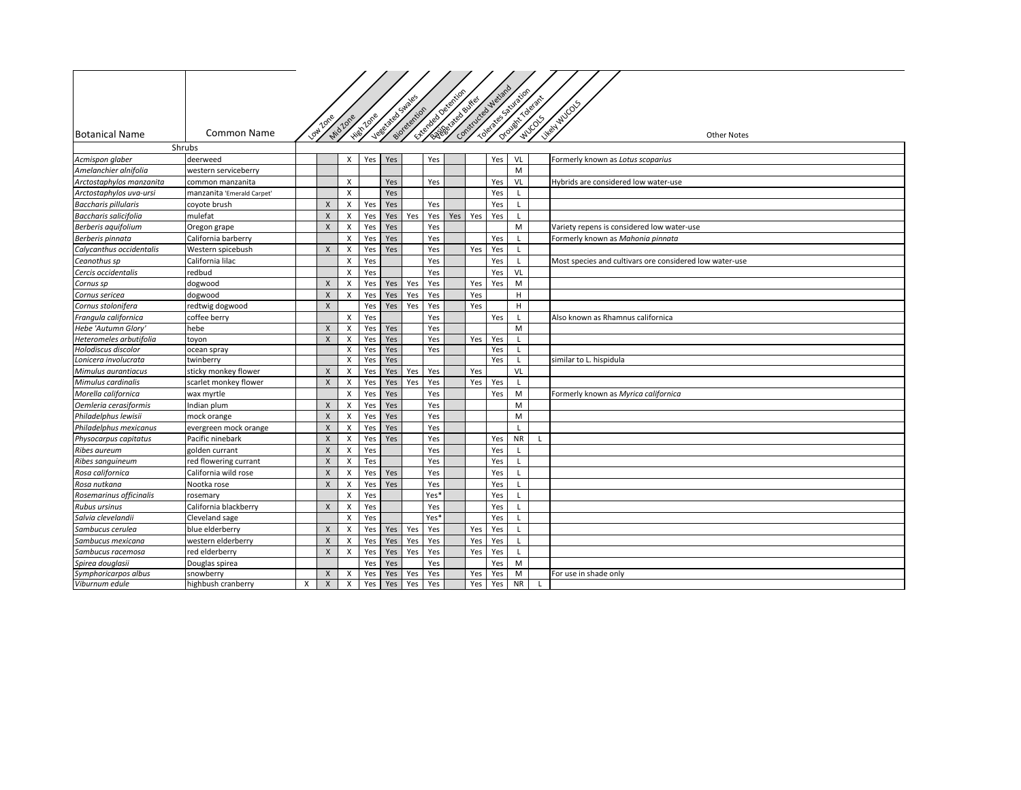|                              |                            |   | Low Zone     | Mid Zone                  | <b>High Zone</b> | Vegetäted Stric | sideterrion | Liverage of equilibri |     | <b>Contract Service /</b> | Constructed Welland<br>Toerate Sauraids | Orowit Toelant |    | Likely Mic OCS                                          |
|------------------------------|----------------------------|---|--------------|---------------------------|------------------|-----------------|-------------|-----------------------|-----|---------------------------|-----------------------------------------|----------------|----|---------------------------------------------------------|
| <b>Botanical Name</b>        | Common Name                |   |              |                           |                  |                 |             |                       |     |                           |                                         |                |    | <b>Other Notes</b>                                      |
|                              | Shrubs                     |   |              |                           |                  |                 |             |                       |     |                           |                                         |                |    |                                                         |
| Acmispon glaber              | deerweed                   |   |              | X                         | Yes              | Yes             |             | Yes                   |     |                           | Yes                                     | VL             |    | Formerly known as Lotus scoparius                       |
| Amelanchier alnifolia        | western serviceberry       |   |              |                           |                  |                 |             |                       |     |                           |                                         | M              |    |                                                         |
| Arctostaphylos manzanita     | common manzanita           |   |              | X                         |                  | Yes             |             | Yes                   |     |                           | Yes                                     | VL             |    | Hybrids are considered low water-use                    |
| Arctostaphylos uva-ursi      | manzanita 'Emerald Carpet' |   |              | X                         |                  | Yes             |             |                       |     |                           | Yes                                     | $\mathsf{L}$   |    |                                                         |
| <b>Baccharis pillularis</b>  | coyote brush               |   | X            | X                         | Yes              | Yes             |             | Yes                   |     |                           | Yes                                     | $\mathsf{L}$   |    |                                                         |
| <b>Baccharis salicifolia</b> | mulefat                    |   | X            | X                         | Yes              | Yes             | Yes         | Yes                   | Yes | Yes                       | Yes                                     | L              |    |                                                         |
| Berberis aquifolium          | Oregon grape               |   | X            | $\boldsymbol{\mathsf{X}}$ | Yes              | Yes             |             | Yes                   |     |                           |                                         | M              |    | Variety repens is considered low water-use              |
| Berberis pinnata             | California barberry        |   |              | Х                         | Yes              | Yes             |             | Yes                   |     |                           | Yes                                     |                |    | Formerly known as Mahonia pinnata                       |
| Calycanthus occidentalis     | Western spicebush          |   | X            | X                         | Yes              | Yes             |             | Yes                   |     | Yes                       | Yes                                     |                |    |                                                         |
| Ceanothus sp                 | California lilac           |   |              | X                         | Yes              |                 |             | Yes                   |     |                           | Yes                                     | L              |    | Most species and cultivars ore considered low water-use |
| Cercis occidentalis          | redbud                     |   |              | X                         | Yes              |                 |             | Yes                   |     |                           | Yes                                     | VL             |    |                                                         |
| Cornus sp                    | dogwood                    |   | X            | X                         | Yes              | Yes             | Yes         | Yes                   |     | Yes                       | Yes                                     | M              |    |                                                         |
| Cornus sericea               | dogwood                    |   | $\mathsf{X}$ | х                         | Yes              | Yes             | Yes         | Yes                   |     | Yes                       |                                         | н              |    |                                                         |
| Cornus stolonifera           | redtwig dogwood            |   | $\pmb{\chi}$ |                           | Yes              | Yes             | Yes         | Yes                   |     | Yes                       |                                         | н              |    |                                                         |
| Frangula californica         | coffee berry               |   |              | X                         | Yes              |                 |             | Yes                   |     |                           | Yes                                     | $\mathsf{L}$   |    | Also known as Rhamnus californica                       |
| Hebe 'Autumn Glory'          | hebe                       |   | $\mathsf{X}$ | $\mathsf{X}$              | Yes              | Yes             |             | Yes                   |     |                           |                                         | M              |    |                                                         |
| Heteromeles arbutifolia      | toyon                      |   | $\mathsf{X}$ | X                         | Yes              | Yes             |             | Yes                   |     | Yes                       | Yes                                     | L              |    |                                                         |
| Holodiscus discolor          | ocean spray                |   |              | X                         | Yes              | Yes             |             | Yes                   |     |                           | Yes                                     | $\mathsf{L}$   |    |                                                         |
| Lonicera involucrata         | twinberry                  |   |              | X                         | Yes              | Yes             |             |                       |     |                           | Yes                                     | L              |    | similar to L. hispidula                                 |
| Mimulus aurantiacus          | sticky monkey flower       |   | X            | X                         | Yes              | Yes             | Yes         | Yes                   |     | Yes                       |                                         | VL             |    |                                                         |
| Mimulus cardinalis           | scarlet monkey flower      |   | X            | Х                         | Yes              | Yes             | Yes         | Yes                   |     | Yes                       | Yes                                     | L.             |    |                                                         |
| Morella californica          | wax myrtle                 |   |              | $\mathsf{x}$              | Yes              | Yes             |             | Yes                   |     |                           | Yes                                     | M              |    | Formerly known as Myrica californica                    |
| Oemleria cerasiformis        | Indian plum                |   | X            | Х                         | Yes              | Yes             |             | Yes                   |     |                           |                                         | M              |    |                                                         |
| Philadelphus lewisii         | mock orange                |   | X            | X                         | Yes              | Yes             |             | Yes                   |     |                           |                                         | M              |    |                                                         |
| Philadelphus mexicanus       | evergreen mock orange      |   | X            | X                         | Yes              | Yes             |             | Yes                   |     |                           |                                         | $\mathbf{I}$   |    |                                                         |
| Physocarpus capitatus        | Pacific ninebark           |   | $\pmb{\chi}$ | X                         | Yes              | Yes             |             | Yes                   |     |                           | Yes                                     | <b>NR</b>      | L. |                                                         |
| <b>Ribes aureum</b>          | golden currant             |   | X            | X                         | Yes              |                 |             | Yes                   |     |                           | Yes                                     | L              |    |                                                         |
| Ribes sanguineum             | red flowering currant      |   | X            | X                         | Tes              |                 |             | Yes                   |     |                           | Yes                                     | L              |    |                                                         |
| Rosa californica             | California wild rose       |   | $\mathsf{X}$ | X                         | Yes              | Yes             |             | Yes                   |     |                           | Yes                                     |                |    |                                                         |
| Rosa nutkana                 | Nootka rose                |   | $\mathsf{X}$ | X                         | Yes              | Yes             |             | Yes                   |     |                           | Yes                                     | $\mathbf{L}$   |    |                                                         |
| Rosemarinus officinalis      | rosemary                   |   |              | X                         | Yes              |                 |             | Yes <sup>*</sup>      |     |                           | Yes                                     | L              |    |                                                         |
| Rubus ursinus                | California blackberry      |   | $\mathsf{X}$ | X                         | Yes              |                 |             | Yes                   |     |                           | Yes                                     | $\mathsf{L}$   |    |                                                         |
| Salvia clevelandii           | Cleveland sage             |   |              | X                         | Yes              |                 |             | Yes <sup>*</sup>      |     |                           | Yes                                     | L              |    |                                                         |
| Sambucus cerulea             | blue elderberry            |   | $\mathsf{X}$ | $\boldsymbol{\mathsf{X}}$ | Yes              | Yes             | Yes         | Yes                   |     | Yes                       | Yes                                     | L              |    |                                                         |
| Sambucus mexicana            | western elderberry         |   | $\mathsf{X}$ | X                         | Yes              | Yes             | Yes         | Yes                   |     | Yes                       | Yes                                     | L              |    |                                                         |
| Sambucus racemosa            | red elderberry             |   | $\pmb{\chi}$ | X                         | Yes              | Yes             | Yes         | Yes                   |     | Yes                       | Yes                                     | $\mathsf{L}$   |    |                                                         |
| Spirea douglasii             | Douglas spirea             |   |              |                           | Yes              | Yes             |             | Yes                   |     |                           | Yes                                     | M              |    |                                                         |
| Symphoricarpos albus         | snowberry                  |   | X            | X                         | Yes              | Yes             | Yes         | Yes                   |     | Yes                       | Yes                                     | M              |    | For use in shade only                                   |
| Viburnum edule               | highbush cranberry         | X | X            | $\pmb{\chi}$              | Yes              | Yes             | Yes         | Yes                   |     | Yes                       | Yes                                     | <b>NR</b>      | L. |                                                         |